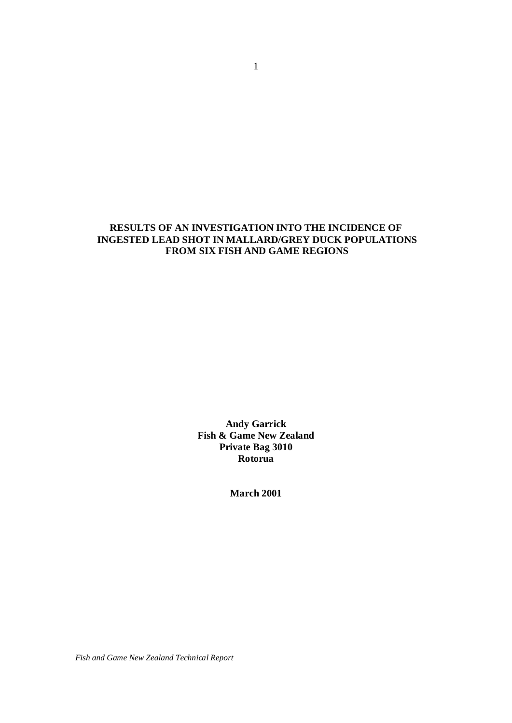## **RESULTS OF AN INVESTIGATION INTO THE INCIDENCE OF INGESTED LEAD SHOT IN MALLARD/GREY DUCK POPULATIONS FROM SIX FISH AND GAME REGIONS**

**Andy Garrick Fish & Game New Zealand Private Bag 3010 Rotorua**

**March 2001**

*Fish and Game New Zealand Technical Report*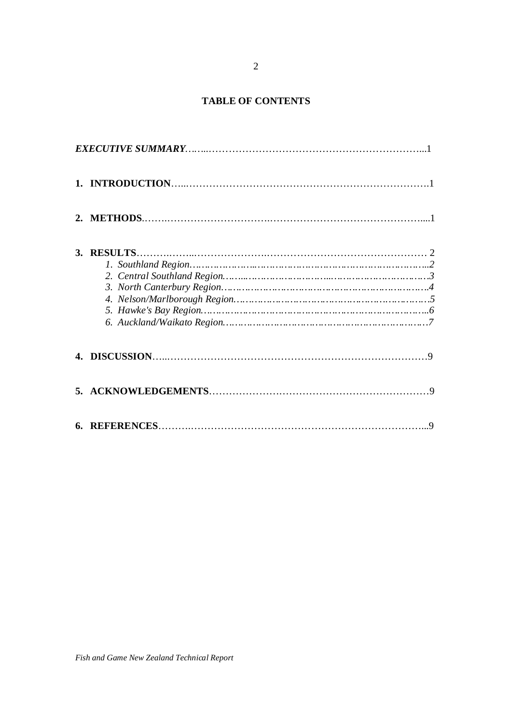# **TABLE OF CONTENTS**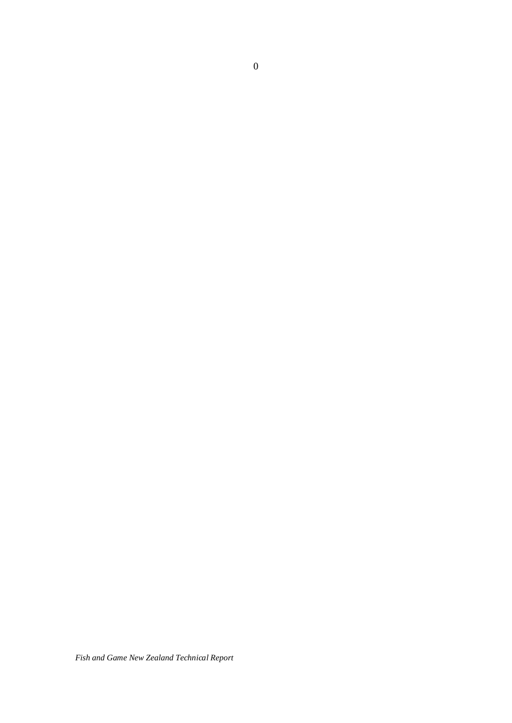*Fish and Game New Zealand Technical Report*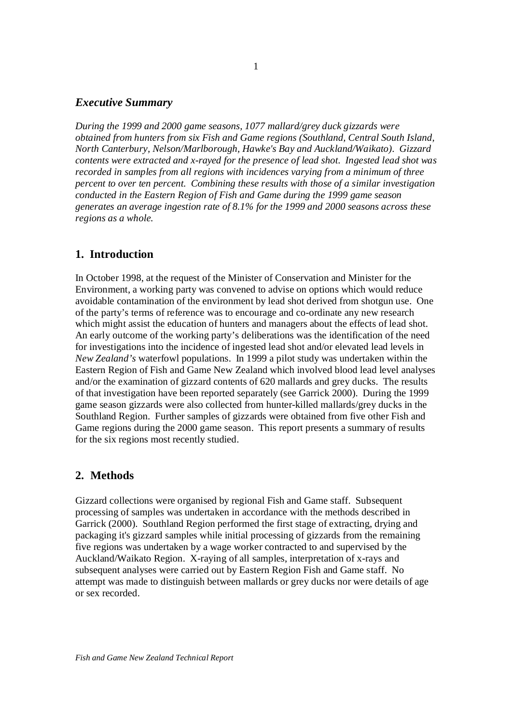# *Executive Summary*

*During the 1999 and 2000 game seasons, 1077 mallard/grey duck gizzards were obtained from hunters from six Fish and Game regions (Southland, Central South Island, North Canterbury, Nelson/Marlborough, Hawke's Bay and Auckland/Waikato). Gizzard contents were extracted and x-rayed for the presence of lead shot. Ingested lead shot was recorded in samples from all regions with incidences varying from a minimum of three percent to over ten percent. Combining these results with those of a similar investigation conducted in the Eastern Region of Fish and Game during the 1999 game season generates an average ingestion rate of 8.1% for the 1999 and 2000 seasons across these regions as a whole.*

#### **1. Introduction**

In October 1998, at the request of the Minister of Conservation and Minister for the Environment, a working party was convened to advise on options which would reduce avoidable contamination of the environment by lead shot derived from shotgun use. One of the party's terms of reference was to encourage and co-ordinate any new research which might assist the education of hunters and managers about the effects of lead shot. An early outcome of the working party's deliberations was the identification of the need for investigations into the incidence of ingested lead shot and/or elevated lead levels in *New Zealand's* waterfowl populations. In 1999 a pilot study was undertaken within the Eastern Region of Fish and Game New Zealand which involved blood lead level analyses and/or the examination of gizzard contents of 620 mallards and grey ducks. The results of that investigation have been reported separately (see Garrick 2000). During the 1999 game season gizzards were also collected from hunter-killed mallards/grey ducks in the Southland Region. Further samples of gizzards were obtained from five other Fish and Game regions during the 2000 game season. This report presents a summary of results for the six regions most recently studied.

#### **2. Methods**

Gizzard collections were organised by regional Fish and Game staff. Subsequent processing of samples was undertaken in accordance with the methods described in Garrick (2000). Southland Region performed the first stage of extracting, drying and packaging it's gizzard samples while initial processing of gizzards from the remaining five regions was undertaken by a wage worker contracted to and supervised by the Auckland/Waikato Region. X-raying of all samples, interpretation of x-rays and subsequent analyses were carried out by Eastern Region Fish and Game staff. No attempt was made to distinguish between mallards or grey ducks nor were details of age or sex recorded.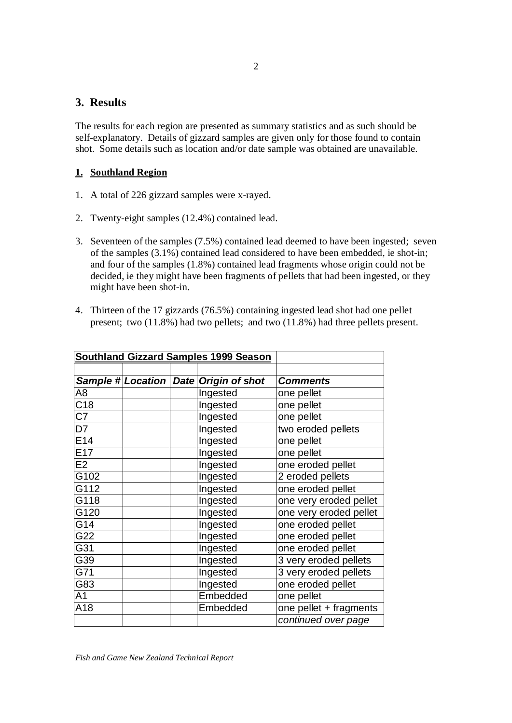# **3. Results**

The results for each region are presented as summary statistics and as such should be self-explanatory. Details of gizzard samples are given only for those found to contain shot. Some details such as location and/or date sample was obtained are unavailable.

## **1. Southland Region**

- 1. A total of 226 gizzard samples were x-rayed.
- 2. Twenty-eight samples (12.4%) contained lead.
- 3. Seventeen of the samples (7.5%) contained lead deemed to have been ingested; seven of the samples (3.1%) contained lead considered to have been embedded, ie shot-in; and four of the samples (1.8%) contained lead fragments whose origin could not be decided, ie they might have been fragments of pellets that had been ingested, or they might have been shot-in.
- 4. Thirteen of the 17 gizzards (76.5%) containing ingested lead shot had one pellet present; two (11.8%) had two pellets; and two (11.8%) had three pellets present.

| <b>Southland Gizzard Samples 1999 Season</b> |  |  |                                           |                        |
|----------------------------------------------|--|--|-------------------------------------------|------------------------|
|                                              |  |  |                                           |                        |
|                                              |  |  | Sample # Location   Date   Origin of shot | <b>Comments</b>        |
| A8                                           |  |  | Ingested                                  | one pellet             |
| $\overline{C18}$                             |  |  | Ingested                                  | one pellet             |
| $\overline{\text{C7}}$                       |  |  | Ingested                                  | one pellet             |
| $\overline{\mathsf{D7}}$                     |  |  | Ingested                                  | two eroded pellets     |
| E14                                          |  |  | Ingested                                  | one pellet             |
| E17                                          |  |  | Ingested                                  | one pellet             |
| E2                                           |  |  | Ingested                                  | one eroded pellet      |
| G <sub>102</sub>                             |  |  | Ingested                                  | 2 eroded pellets       |
| G112                                         |  |  | Ingested                                  | one eroded pellet      |
| G118                                         |  |  | Ingested                                  | one very eroded pellet |
| G120                                         |  |  | Ingested                                  | one very eroded pellet |
| G14                                          |  |  | Ingested                                  | one eroded pellet      |
| G22                                          |  |  | Ingested                                  | one eroded pellet      |
| G31                                          |  |  | Ingested                                  | one eroded pellet      |
| G39                                          |  |  | Ingested                                  | 3 very eroded pellets  |
| G71                                          |  |  | Ingested                                  | 3 very eroded pellets  |
| G83                                          |  |  | Ingested                                  | one eroded pellet      |
| $\overline{A1}$                              |  |  | Embedded                                  | one pellet             |
| A18                                          |  |  | Embedded                                  | one pellet + fragments |
|                                              |  |  |                                           | continued over page    |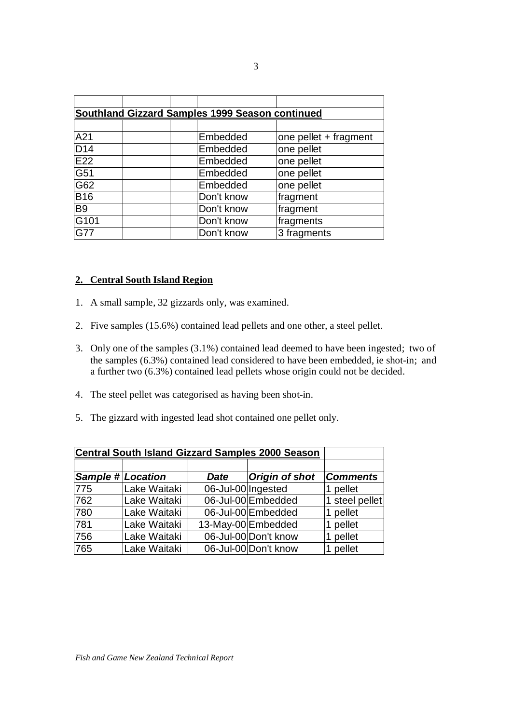|                 | <b>Southland Gizzard Samples 1999 Season continued</b> |  |            |                       |  |  |  |  |
|-----------------|--------------------------------------------------------|--|------------|-----------------------|--|--|--|--|
|                 |                                                        |  |            |                       |  |  |  |  |
| A21             |                                                        |  | Embedded   | one pellet + fragment |  |  |  |  |
| D <sub>14</sub> |                                                        |  | Embedded   | one pellet            |  |  |  |  |
| E22             |                                                        |  | Embedded   | one pellet            |  |  |  |  |
| G51             |                                                        |  | Embedded   | one pellet            |  |  |  |  |
| G62             |                                                        |  | Embedded   | one pellet            |  |  |  |  |
| <b>B16</b>      |                                                        |  | Don't know | fragment              |  |  |  |  |
| B <sub>9</sub>  |                                                        |  | Don't know | fragment              |  |  |  |  |
| G101            |                                                        |  | Don't know | fragments             |  |  |  |  |
| G77             |                                                        |  | Don't know | 3 fragments           |  |  |  |  |

#### **2. Central South Island Region**

- 1. A small sample, 32 gizzards only, was examined.
- 2. Five samples (15.6%) contained lead pellets and one other, a steel pellet.
- 3. Only one of the samples (3.1%) contained lead deemed to have been ingested; two of the samples (6.3%) contained lead considered to have been embedded, ie shot-in; and a further two (6.3%) contained lead pellets whose origin could not be decided.
- 4. The steel pellet was categorised as having been shot-in.
- 5. The gizzard with ingested lead shot contained one pellet only.

|                   | Central South Island Gizzard Samples 2000 Season |                    |                       |                 |  |  |  |  |
|-------------------|--------------------------------------------------|--------------------|-----------------------|-----------------|--|--|--|--|
| Sample # Location |                                                  | Date               | <b>Origin of shot</b> | <b>Comments</b> |  |  |  |  |
| 775               | Lake Waitaki                                     | 06-Jul-00 Ingested |                       | 1 pellet        |  |  |  |  |
| 762               | Lake Waitaki                                     |                    | 06-Jul-00 Embedded    | 1 steel pellet  |  |  |  |  |
| 780               | Lake Waitaki                                     |                    | 06-Jul-00 Embedded    | 1 pellet        |  |  |  |  |
| 781               | Lake Waitaki                                     |                    | 13-May-00 Embedded    | 1 pellet        |  |  |  |  |
| 756               | Lake Waitaki                                     |                    | 06-Jul-00 Don't know  | 1 pellet        |  |  |  |  |
| 765               | Lake Waitaki                                     |                    | 06-Jul-00 Don't know  | 1 pellet        |  |  |  |  |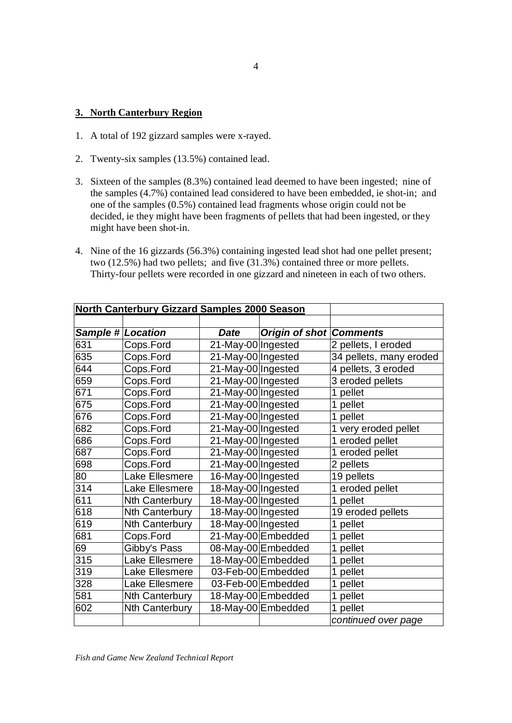#### **3. North Canterbury Region**

- 1. A total of 192 gizzard samples were x-rayed.
- 2. Twenty-six samples (13.5%) contained lead.
- 3. Sixteen of the samples (8.3%) contained lead deemed to have been ingested; nine of the samples (4.7%) contained lead considered to have been embedded, ie shot-in; and one of the samples (0.5%) contained lead fragments whose origin could not be decided, ie they might have been fragments of pellets that had been ingested, or they might have been shot-in.
- 4. Nine of the 16 gizzards (56.3%) containing ingested lead shot had one pellet present; two (12.5%) had two pellets; and five (31.3%) contained three or more pellets. Thirty-four pellets were recorded in one gizzard and nineteen in each of two others.

|                   | <b>North Canterbury Gizzard Samples 2000 Season</b> |                    |                                |                         |
|-------------------|-----------------------------------------------------|--------------------|--------------------------------|-------------------------|
|                   |                                                     |                    |                                |                         |
| Sample # Location |                                                     | <b>Date</b>        | <b>Origin of shot Comments</b> |                         |
| 631               | Cops.Ford                                           | 21-May-00 Ingested |                                | 2 pellets, I eroded     |
| 635               | Cops.Ford                                           | 21-May-00 Ingested |                                | 34 pellets, many eroded |
| 644               | Cops.Ford                                           | 21-May-00 Ingested |                                | 4 pellets, 3 eroded     |
| 659               | Cops.Ford                                           | 21-May-00 Ingested |                                | 3 eroded pellets        |
| 671               | Cops.Ford                                           | 21-May-00 Ingested |                                | 1 pellet                |
| 675               | Cops.Ford                                           | 21-May-00 Ingested |                                | 1 pellet                |
| 676               | Cops.Ford                                           | 21-May-00 Ingested |                                | 1 pellet                |
| 682               | Cops.Ford                                           | 21-May-00 Ingested |                                | 1 very eroded pellet    |
| 686               | Cops.Ford                                           | 21-May-00 Ingested |                                | 1 eroded pellet         |
| 687               | Cops.Ford                                           | 21-May-00 Ingested |                                | 1 eroded pellet         |
| 698               | Cops.Ford                                           | 21-May-00 Ingested |                                | 2 pellets               |
| 80                | Lake Ellesmere                                      | 16-May-00 Ingested |                                | 19 pellets              |
| 314               | Lake Ellesmere                                      | 18-May-00 Ingested |                                | 1 eroded pellet         |
| 611               | <b>Nth Canterbury</b>                               | 18-May-00 Ingested |                                | 1 pellet                |
| 618               | <b>Nth Canterbury</b>                               | 18-May-00 Ingested |                                | 19 eroded pellets       |
| 619               | Nth Canterbury                                      | 18-May-00 Ingested |                                | 1 pellet                |
| 681               | Cops.Ford                                           |                    | 21-May-00 Embedded             | 1 pellet                |
| 69                | Gibby's Pass                                        |                    | 08-May-00 Embedded             | 1 pellet                |
| 315               | Lake Ellesmere                                      |                    | 18-May-00 Embedded             | 1 pellet                |
| 319               | Lake Ellesmere                                      |                    | 03-Feb-00 Embedded             | 1 pellet                |
| 328               | Lake Ellesmere                                      |                    | 03-Feb-00 Embedded             | 1 pellet                |
| 581               | Nth Canterbury                                      |                    | 18-May-00 Embedded             | 1 pellet                |
| 602               | <b>Nth Canterbury</b>                               |                    | 18-May-00 Embedded             | 1 pellet                |
|                   |                                                     |                    |                                | continued over page     |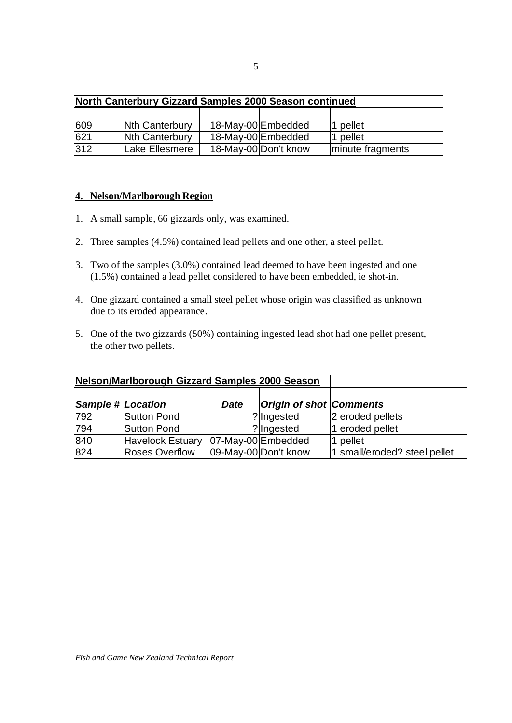| North Canterbury Gizzard Samples 2000 Season continued |                |  |                      |                  |  |  |
|--------------------------------------------------------|----------------|--|----------------------|------------------|--|--|
|                                                        |                |  |                      |                  |  |  |
| 609                                                    | Nth Canterbury |  | 18-May-00 Embedded   | pellet           |  |  |
| 621                                                    | Nth Canterbury |  | 18-May-00 Embedded   | 1 pellet         |  |  |
| 312                                                    | Lake Ellesmere |  | 18-May-00 Don't know | minute fragments |  |  |

#### **4. Nelson/Marlborough Region**

- 1. A small sample, 66 gizzards only, was examined.
- 2. Three samples (4.5%) contained lead pellets and one other, a steel pellet.
- 3. Two of the samples (3.0%) contained lead deemed to have been ingested and one (1.5%) contained a lead pellet considered to have been embedded, ie shot-in.
- 4. One gizzard contained a small steel pellet whose origin was classified as unknown due to its eroded appearance.
- 5. One of the two gizzards (50%) containing ingested lead shot had one pellet present, the other two pellets.

|                   | Nelson/Marlborough Gizzard Samples 2000 Season |             |                                |                            |
|-------------------|------------------------------------------------|-------------|--------------------------------|----------------------------|
|                   |                                                |             |                                |                            |
| Sample # Location |                                                | <b>Date</b> | <b>Origin of shot Comments</b> |                            |
| 792               | <b>Sutton Pond</b>                             |             | ? Ingested                     | 2 eroded pellets           |
| 794               | Sutton Pond                                    |             | ? Ingested                     | 1 eroded pellet            |
| 840               | <b>Havelock Estuary</b>                        |             | 07-May-00 Embedded             | pellet                     |
| 824               | <b>Roses Overflow</b>                          |             | 09-May-00 Don't know           | small/eroded? steel pellet |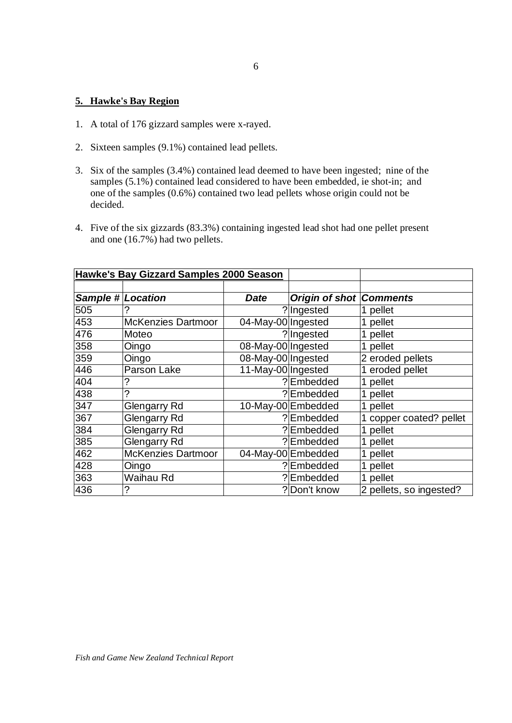#### **5. Hawke's Bay Region**

- 1. A total of 176 gizzard samples were x-rayed.
- 2. Sixteen samples (9.1%) contained lead pellets.
- 3. Six of the samples (3.4%) contained lead deemed to have been ingested; nine of the samples  $(5.1\%)$  contained lead considered to have been embedded, ie shot-in; and one of the samples (0.6%) contained two lead pellets whose origin could not be decided.
- 4. Five of the six gizzards (83.3%) containing ingested lead shot had one pellet present and one (16.7%) had two pellets.

| <b>Hawke's Bay Gizzard Samples 2000 Season</b> |                           |                    |                                |                         |  |
|------------------------------------------------|---------------------------|--------------------|--------------------------------|-------------------------|--|
|                                                |                           |                    |                                |                         |  |
| Sample # Location                              |                           | <b>Date</b>        | <b>Origin of shot Comments</b> |                         |  |
| 505                                            |                           |                    | lngested                       | 1 pellet                |  |
| 453                                            | <b>McKenzies Dartmoor</b> | 04-May-00 Ingested |                                | pellet                  |  |
| 476                                            | Moteo                     |                    | ? Ingested                     | pellet                  |  |
| 358                                            | Oingo                     | 08-May-00 Ingested |                                | pellet                  |  |
| 359                                            | Oingo                     | 08-May-00 Ingested |                                | 2 eroded pellets        |  |
| 446                                            | Parson Lake               | 11-May-00 Ingested |                                | eroded pellet           |  |
| 404                                            |                           |                    | ?Embedded                      | pellet                  |  |
| 438                                            | 2                         |                    | ? Embedded                     | pellet                  |  |
| 347                                            | <b>Glengarry Rd</b>       |                    | 10-May-00 Embedded             | pellet<br>1             |  |
| 367                                            | <b>Glengarry Rd</b>       |                    | ?lEmbedded                     | copper coated? pellet   |  |
| 384                                            | <b>Glengarry Rd</b>       |                    | ? Embedded                     | pellet                  |  |
| 385                                            | <b>Glengarry Rd</b>       |                    | ? Embedded                     | pellet                  |  |
| 462                                            | <b>McKenzies Dartmoor</b> |                    | 04-May-00 Embedded             | pellet                  |  |
| 428                                            | Oingo                     |                    | ? Embedded                     | pellet                  |  |
| 363                                            | Waihau Rd                 |                    | Embedded                       | pellet<br>1             |  |
| 436                                            |                           |                    | ?Don't know                    | 2 pellets, so ingested? |  |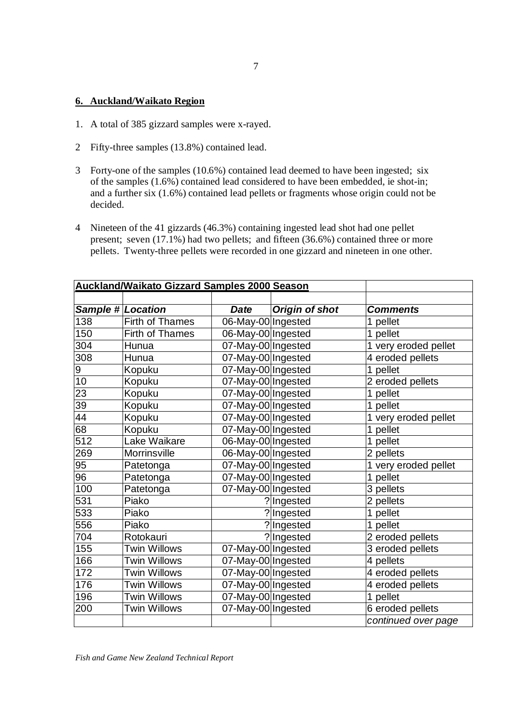#### **6. Auckland/Waikato Region**

- 1. A total of 385 gizzard samples were x-rayed.
- 2 Fifty-three samples (13.8%) contained lead.
- 3 Forty-one of the samples (10.6%) contained lead deemed to have been ingested; six of the samples (1.6%) contained lead considered to have been embedded, ie shot-in; and a further six (1.6%) contained lead pellets or fragments whose origin could not be decided.
- 4 Nineteen of the 41 gizzards (46.3%) containing ingested lead shot had one pellet present; seven (17.1%) had two pellets; and fifteen (36.6%) contained three or more pellets. Twenty-three pellets were recorded in one gizzard and nineteen in one other.

|                   | <b>Auckland/Waikato Gizzard Samples 2000 Season</b> |                    |                       |                               |
|-------------------|-----------------------------------------------------|--------------------|-----------------------|-------------------------------|
|                   |                                                     |                    |                       |                               |
| Sample # Location |                                                     | <b>Date</b>        | <b>Origin of shot</b> | <b>Comments</b>               |
| 138               | <b>Firth of Thames</b>                              | 06-May-00 Ingested |                       | 1 pellet                      |
| 150               | <b>Firth of Thames</b>                              | 06-May-00 Ingested |                       | 1 pellet                      |
| 304               | Hunua                                               | 07-May-00 Ingested |                       | 1 very eroded pellet          |
| 308               | Hunua                                               | 07-May-00 Ingested |                       | 4 eroded pellets              |
| 9                 | Kopuku                                              | 07-May-00 Ingested |                       | 1 pellet                      |
| 10                | Kopuku                                              | 07-May-00 Ingested |                       | 2 eroded pellets              |
| 23                | Kopuku                                              | 07-May-00 Ingested |                       | pellet<br>1                   |
| 39                | Kopuku                                              | 07-May-00 Ingested |                       | 1 pellet                      |
| 44                | Kopuku                                              | 07-May-00 Ingested |                       | 1 very eroded pellet          |
| $\overline{68}$   | Kopuku                                              | 07-May-00 Ingested |                       | pellet<br>$\mathbf 1$         |
| $\overline{512}$  | Lake Waikare                                        | 06-May-00 Ingested |                       | 1 pellet                      |
| 269               | Morrinsville                                        | 06-May-00 Ingested |                       | 2 pellets                     |
| 95                | Patetonga                                           | 07-May-00 Ingested |                       | 1 very eroded pellet          |
| 96                | Patetonga                                           | 07-May-00 Ingested |                       | 1 pellet                      |
| 100               | Patetonga                                           | 07-May-00 Ingested |                       | 3 pellets                     |
| 531               | Piako                                               |                    | ? Ingested            | 2 pellets                     |
| 533               | Piako                                               |                    | ? Ingested            | 1 pellet                      |
| 556               | Piako                                               |                    | ?Ingested             | pellet<br>$\mathbf{1}$        |
| 704               | Rotokauri                                           |                    | ?Ingested             | 2 eroded pellets              |
| 155               | <b>Twin Willows</b>                                 | 07-May-00 Ingested |                       | 3 eroded pellets              |
| 166               | <b>Twin Willows</b>                                 | 07-May-00 Ingested |                       | 4 pellets                     |
| 172               | <b>Twin Willows</b>                                 | 07-May-00 Ingested |                       | 4 eroded pellets              |
| 176               | <b>Twin Willows</b>                                 | 07-May-00 Ingested |                       | $\overline{4}$ eroded pellets |
| 196               | <b>Twin Willows</b>                                 | 07-May-00 Ingested |                       | 1 pellet                      |
| 200               | <b>Twin Willows</b>                                 | 07-May-00 Ingested |                       | 6 eroded pellets              |
|                   |                                                     |                    |                       | continued over page           |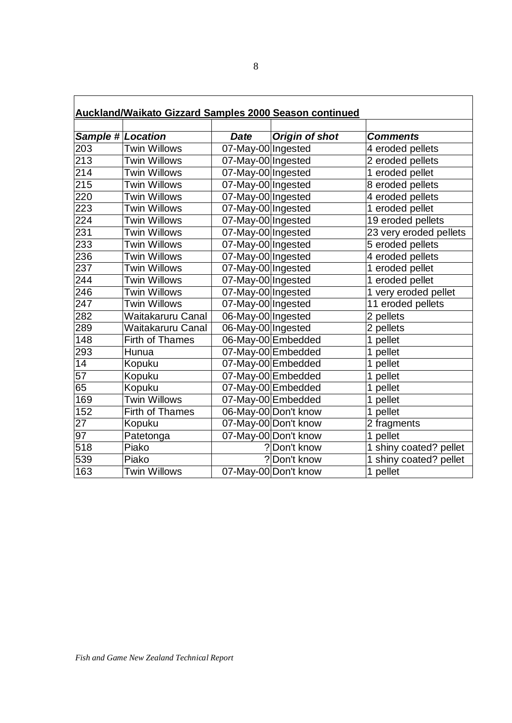| Sample # Location |                     | <b>Date</b>        | <b>Origin of shot</b> | <b>Comments</b>        |
|-------------------|---------------------|--------------------|-----------------------|------------------------|
| 203               | <b>Twin Willows</b> | 07-May-00 Ingested |                       | 4 eroded pellets       |
| 213               | <b>Twin Willows</b> | 07-May-00 Ingested |                       | 2 eroded pellets       |
| $\overline{214}$  | <b>Twin Willows</b> | 07-May-00 Ingested |                       | 1 eroded pellet        |
| 215               | <b>Twin Willows</b> | 07-May-00 Ingested |                       | 8 eroded pellets       |
| 220               | <b>Twin Willows</b> | 07-May-00 Ingested |                       | 4 eroded pellets       |
| 223               | <b>Twin Willows</b> | 07-May-00 Ingested |                       | 1 eroded pellet        |
| $\overline{224}$  | <b>Twin Willows</b> | 07-May-00 Ingested |                       | 19 eroded pellets      |
| 231               | <b>Twin Willows</b> | 07-May-00 Ingested |                       | 23 very eroded pellets |
| 233               | Twin Willows        | 07-May-00 Ingested |                       | 5 eroded pellets       |
| 236               | <b>Twin Willows</b> | 07-May-00 Ingested |                       | 4 eroded pellets       |
| 237               | <b>Twin Willows</b> | 07-May-00 Ingested |                       | 1 eroded pellet        |
| 244               | <b>Twin Willows</b> | 07-May-00 Ingested |                       | 1 eroded pellet        |
| 246               | <b>Twin Willows</b> | 07-May-00 Ingested |                       | 1 very eroded pellet   |
| 247               | <b>Twin Willows</b> | 07-May-00 Ingested |                       | 11 eroded pellets      |
| 282               | Waitakaruru Canal   | 06-May-00 Ingested |                       | 2 pellets              |
| 289               | Waitakaruru Canal   | 06-May-00 Ingested |                       | 2 pellets              |
| 148               | Firth of Thames     |                    | 06-May-00 Embedded    | 1 pellet               |
| 293               | Hunua               |                    | 07-May-00 Embedded    | 1 pellet               |
| 14                | Kopuku              |                    | 07-May-00 Embedded    | pellet                 |
| $\overline{57}$   | Kopuku              |                    | 07-May-00 Embedded    | 1 pellet               |
| 65                | Kopuku              |                    | 07-May-00 Embedded    | 1 pellet               |
| 169               | <b>Twin Willows</b> |                    | 07-May-00 Embedded    | 1 pellet               |
| 152               | Firth of Thames     |                    | 06-May-00 Don't know  | 1 pellet               |
| 27                | Kopuku              |                    | 07-May-00 Don't know  | 2 fragments            |
| $\overline{97}$   | Patetonga           |                    | 07-May-00 Don't know  | 1 pellet               |
| $\overline{518}$  | Piako               |                    | ?Don't know           | 1 shiny coated? pellet |
| 539               | Piako               |                    | ?Don't know           | 1 shiny coated? pellet |
| 163               | <b>Twin Willows</b> |                    | 07-May-00 Don't know  | 1 pellet               |